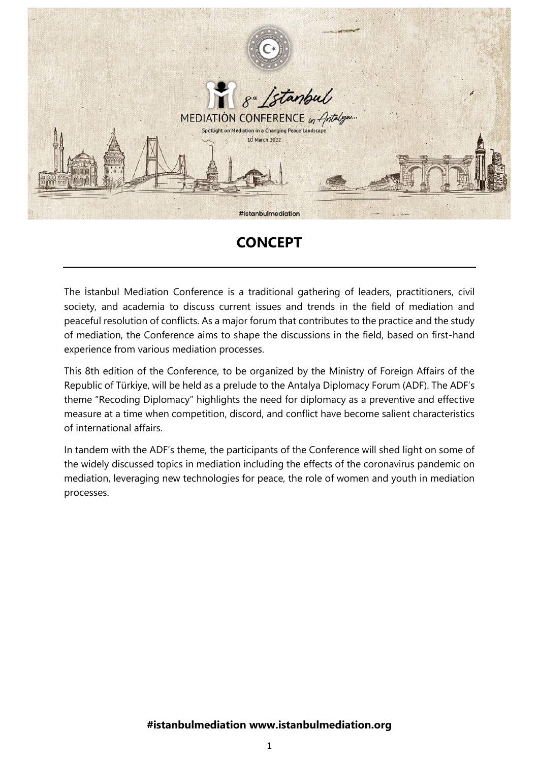

# **CONCEPT**

The İstanbul Mediation Conference is a traditional gathering of leaders, practitioners, civil society, and academia to discuss current issues and trends in the field of mediation and peaceful resolution of conflicts. As a major forum that contributes to the practice and the study of mediation, the Conference aims to shape the discussions in the field, based on first-hand experience from various mediation processes.

This 8th edition of the Conference, to be organized by the Ministry of Foreign Affairs of the Republic of Türkiye, will be held as a prelude to the Antalya Diplomacy Forum (ADF). The ADF's theme "Recoding Diplomacy" highlights the need for diplomacy as a preventive and effective measure at a time when competition, discord, and conflict have become salient characteristics of international affairs.

In tandem with the ADF's theme, the participants of the Conference will shed light on some of the widely discussed topics in mediation including the effects of the coronavirus pandemic on mediation, leveraging new technologies for peace, the role of women and youth in mediation processes.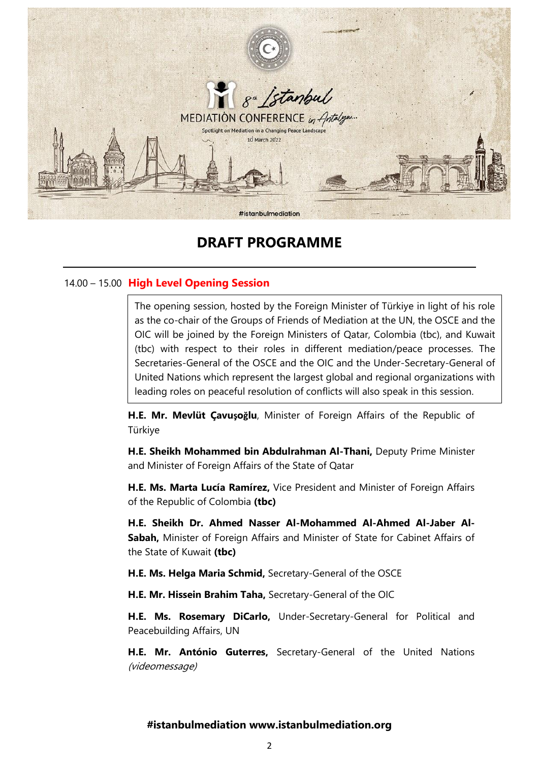

# **DRAFT PROGRAMME**

# 14.00 – 15.00 **High Level Opening Session**

The opening session, hosted by the Foreign Minister of Türkiye in light of his role as the co-chair of the Groups of Friends of Mediation at the UN, the OSCE and the OIC will be joined by the Foreign Ministers of Qatar, Colombia (tbc), and Kuwait (tbc) with respect to their roles in different mediation/peace processes. The Secretaries-General of the OSCE and the OIC and the Under-Secretary-General of United Nations which represent the largest global and regional organizations with leading roles on peaceful resolution of conflicts will also speak in this session.

**H.E. Mr. Mevlüt Çavuşoğlu**, Minister of Foreign Affairs of the Republic of Türkiye

**H.E. Sheikh Mohammed bin Abdulrahman Al-Thani,** Deputy Prime Minister and Minister of Foreign Affairs of the State of Qatar

**H.E. Ms. Marta Lucía Ramírez,** Vice President and Minister of Foreign Affairs of the Republic of Colombia **(tbc)**

**H.E. Sheikh Dr. Ahmed Nasser Al-Mohammed Al-Ahmed Al-Jaber Al-Sabah,** Minister of Foreign Affairs and Minister of State for Cabinet Affairs of the State of Kuwait **(tbc)**

**H.E. Ms. Helga Maria Schmid,** Secretary-General of the OSCE

**H.E. Mr. Hissein Brahim Taha,** Secretary-General of the OIC

**H.E. Ms. Rosemary DiCarlo,** Under-Secretary-General for Political and Peacebuilding Affairs, UN

**H.E. Mr. António Guterres,** Secretary-General of the United Nations (videomessage)

## **#istanbulmediation www.istanbulmediation.org**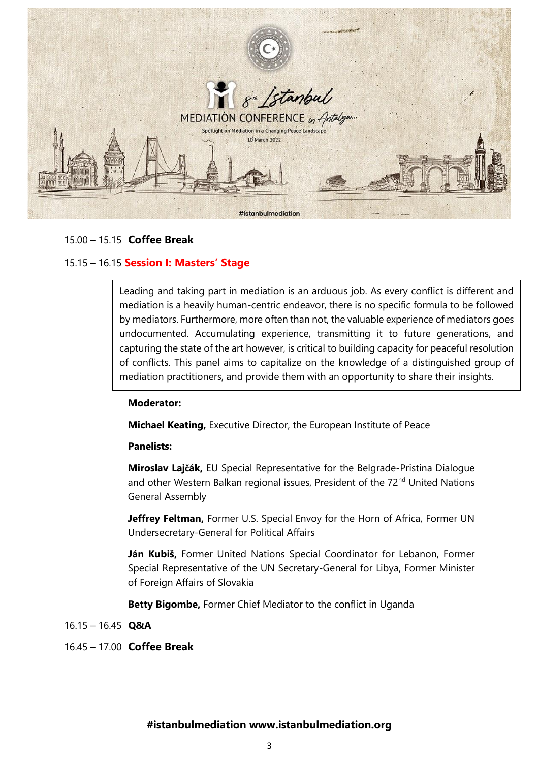

## 15.00 – 15.15 **Coffee Break**

## 15.15 – 16.15 **Session I: Masters' Stage**

Leading and taking part in mediation is an arduous job. As every conflict is different and mediation is a heavily human-centric endeavor, there is no specific formula to be followed by mediators. Furthermore, more often than not, the valuable experience of mediators goes undocumented. Accumulating experience, transmitting it to future generations, and capturing the state of the art however, is critical to building capacity for peaceful resolution of conflicts. This panel aims to capitalize on the knowledge of a distinguished group of mediation practitioners, and provide them with an opportunity to share their insights.

#### **Moderator:**

**Michael Keating,** Executive Director, the European Institute of Peace

#### **Panelists:**

**Miroslav Lajčák,** EU Special Representative for the Belgrade-Pristina Dialogue and other Western Balkan regional issues, President of the 72<sup>nd</sup> United Nations General Assembly

**Jeffrey Feltman,** Former U.S. Special Envoy for the Horn of Africa, Former UN Undersecretary-General for Political Affairs

**Ján Kubiš,** Former United Nations Special Coordinator for Lebanon, Former Special Representative of the UN Secretary-General for Libya, Former Minister of Foreign Affairs of Slovakia

**Betty Bigombe,** Former Chief Mediator to the conflict in Uganda

16.15 – 16.45 **Q&A**

16.45 – 17.00 **Coffee Break**